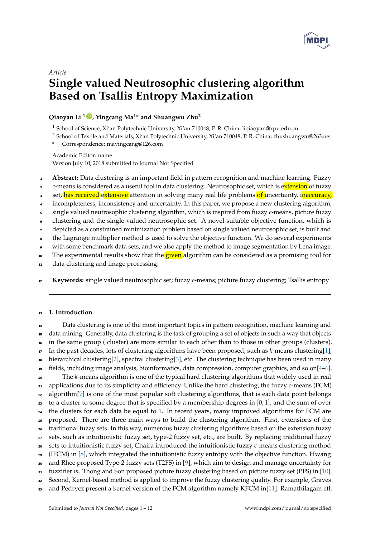

# *Article* **Single valued Neutrosophic clustering algorithm Based on Tsallis Entropy Maximization**

## **Qiaoyan Li <sup>1</sup> [ID](https://orcid.org/0000-0000-000-000X) , Yingcang Ma<sup>1</sup> \* and Shuangwu Zhu<sup>2</sup>**

<sup>1</sup> School of Science, Xi'an Polytechnic University, Xi'an 710048, P. R. China; liqiaoyan@xpu.edu.cn

<sup>2</sup> School of Textile and Materials, Xi'an Polytechnic University, Xi'an 710048, P. R. China; zhushuangwu@263.net

**\*** Correspondence: mayingcang@126.com

Academic Editor: name Version July 10, 2018 submitted to Journal Not Specified

- <sup>1</sup> **Abstract:** Data clustering is an important field in pattern recognition and machine learning. Fuzzy
- <sup>2</sup> *c*-means is considered as a useful tool in data clustering. Neutrosophic set, which is extension of fuzzy
- 3 set, has received extensive attention in solving many real life problems of uncertainty, inaccuracy,
- incompleteness, inconsistency and uncertainty. In this paper, we propose a new clustering algorithm,
- <sup>5</sup> single valued neutrosophic clustering algorithm, which is inspired from fuzzy *c*-means, picture fuzzy
- <sup>6</sup> clustering and the single valued neutrosophic set. A novel suitable objective function, which is
- <sup>7</sup> depicted as a constrained minimization problem based on single valued neutrosophic set, is built and
- <sup>8</sup> the Lagrange multiplier method is used to solve the objective function. We do several experiments
- with some benchmark data sets, and we also apply the method to image segmentation by Lena image.
- <sup>10</sup> The experimental results show that the **given** algorithm can be considered as a promising tool for
- data clustering and image processing.
- <sup>12</sup> **Keywords:** single valued neutrosophic set; fuzzy *c*-means; picture fuzzy clustering; Tsallis entropy

## <sup>13</sup> **1. Introduction**

 Data clustering is one of the most important topics in pattern recognition, machine learning and data mining. Generally, data clustering is the task of grouping a set of objects in such a way that objects in the same group ( cluster) are more similar to each other than to those in other groups (clusters). In the past decades, lots of clustering algorithms have been proposed, such as *k*-means clustering[\[1\]](#page-10-0), hierarchical clustering[\[2\]](#page-10-1), spectral clustering[\[3\]](#page-10-2), etc. The clustering technique has been used in many 19 fields, including image analysis, bioinformatics, data compression, computer graphics, and so on $[4-6]$  $[4-6]$ . <sup>20</sup> The *k*-means algorithm is one of the typical hard clustering algorithms that widely used in real applications due to its simplicity and efficiency. Unlike the hard clustering, the fuzzy *c*-means (FCM) <sup>22</sup> algorithm<sup>[\[7\]](#page-10-5)</sup> is one of the most popular soft clustering algorithms, that is each data point belongs 23 to a cluster to some degree that is specified by a membership degrees in  $[0,1]$ , and the sum of over <sup>24</sup> the clusters for each data be equal to 1. In recent years, many improved algorithms for FCM are proposed. There are three main ways to build the clustering algorithm. First, extensions of the traditional fuzzy sets. In this way, numerous fuzzy clustering algorithms based on the extension fuzzy sets, such as intuitionistic fuzzy set, type-2 fuzzy set, etc., are built. By replacing traditional fuzzy sets to intuitionistic fuzzy set, Chaira introduced the intuitionistic fuzzy *c*-means clustering method <sup>29</sup> (IFCM) in [\[8\]](#page-10-6), which integrated the intuitionistic fuzzy entropy with the objective function. Hwang and Rhee proposed Type-2 fuzzy sets (T2FS) in [\[9\]](#page-10-7), which aim to design and manage uncertainty for fuzzifier *m*. Thong and Son proposed picture fuzzy clustering based on picture fuzzy set (PFS) in [\[10\]](#page-10-8). Second, Kernel-based method is applied to improve the fuzzy clustering quality. For example, Graves 33 and Pedrycz present a kernel version of the FCM algorithm namely KFCM in[\[11\]](#page-10-9). Ramathilagam etl.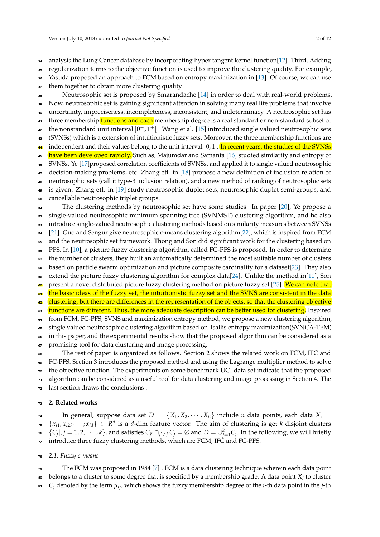- <sup>34</sup> analysis the Lung Cancer database by incorporating hyper tangent kernel function[\[12\]](#page-10-10). Third, Adding
- <sup>35</sup> regularization terms to the objective function is used to improve the clustering quality. For example,
- <sup>36</sup> Yasuda proposed an approach to FCM based on entropy maximization in [\[13\]](#page-10-11). Of course, we can use
- 37 them together to obtain more clustering quality.
- <sup>38</sup> Neutrosophic set is proposed by Smarandache [\[14\]](#page-10-12) in order to deal with real-world problems.
- <sup>39</sup> Now, neutrosophic set is gaining significant attention in solving many real life problems that involve
- <sup>40</sup> uncertainty, impreciseness, incompleteness, inconsistent, and indeterminacy. A neutrosophic set has
- <sup>41</sup> three membership functions and each membership degree is a real standard or non-standard subset of
- $\frac{1}{42}$  the nonstandard unit interval  $]0^-,1^+[$  . Wang et al. [\[15\]](#page-11-0) introduced single valued neutrosophic sets
- <sup>43</sup> (SVNSs) which is a extension of intuitionistic fuzzy sets. Moreover, the three membership functions are
- independent and their values belong to the unit interval [0, 1]. In recent years, the studies of the SVNSs <sup>45</sup> have been developed rapidly. Such as, Majumdar and Samanta [\[16\]](#page-11-1) studied similarity and entropy of
- <sup>46</sup> SVNSs. Ye [\[17\]](#page-11-2)proposed correlation coefficients of SVNSs, and applied it to single valued neutrosophic
- <sup>47</sup> decision-making problems, etc. Zhang etl. in [\[18\]](#page-11-3) propose a new definition of inclusion relation of
- <sup>48</sup> neutrosophic sets (call it type-3 inclusion relation), and a new method of ranking of neutrosophic sets
- <sup>49</sup> is given. Zhang etl. in [\[19\]](#page-11-4) study neutrosophic duplet sets, neutrosophic duplet semi-groups, and
- <sup>50</sup> cancellable neutrosophic triplet groups.
- <sub>51</sub> The clustering methods by neutrosophic set have some studies. In paper [\[20\]](#page-11-5), Ye propose a <sub>52</sub> single-valued neutrosophic minimum spanning tree (SVNMST) clustering algorithm, and he also
- <sup>53</sup> introduce single-valued neutrosophic clustering methods based on similarity measures between SVNSs
- <sup>54</sup> [\[21\]](#page-11-6). Guo and Sengur give neutrosophic *c*-means clustering algorithm[\[22\]](#page-11-7), which is inspired from FCM
- <sub>55</sub> and the neutrosophic set framework. Thong and Son did significant work for the clustering based on
- <sup>56</sup> PFS. In [\[10\]](#page-10-8), a picture fuzzy clustering algorithm, called FC-PFS is proposed. In order to determine
- <sub>57</sub> the number of clusters, they built an automatically determined the most suitable number of clusters
- <sup>58</sup> based on particle swarm optimization and picture composite cardinality for a dataset[\[23\]](#page-11-8). They also
- $\frac{1}{59}$  extend the picture fuzzy clustering algorithm for complex data[\[24\]](#page-11-9). Unlike the method in[\[10\]](#page-10-8), Son
- **60** present a novel distributed picture fuzzy clustering method on picture fuzzy set [\[25\]](#page-11-10). We can note that
- <sup>61</sup> the basic ideas of the fuzzy set, the intuitionistic fuzzy set and the SVNS are consistent in the data
- clustering, but there are differences in the representation of the objects, so that the clustering objective
- <sub>63</sub> functions are different. Thus, the more adequate description can be better used for clustering. Inspired
- <sup>44</sup> from FCM, FC-PFS, SVNS and maximization entropy method, we propose a new clustering algorithm,
- <sup>65</sup> single valued neutrosophic clustering algorithm based on Tsallis entropy maximization(SVNCA-TEM)
- <sup>66</sup> in this paper, and the experimental results show that the proposed algorithm can be considered as a <sup>67</sup> promising tool for data clustering and image processing.
- The rest of paper is organized as follows. Section 2 shows the related work on FCM, IFC and
- <sup>69</sup> FC-PFS. Section 3 introduces the proposed method and using the Lagrange multiplier method to solve
- <sup>70</sup> the objective function. The experiments on some benchmark UCI data set indicate that the proposed
- $\pi$  algorithm can be considered as a useful tool for data clustering and image processing in Section 4. The
- <sup>72</sup> last section draws the conclusions .

## <sup>73</sup> **2. Related works**

 $\alpha$  In general, suppose data set  $D = \{X_1, X_2, \dots, X_n\}$  include *n* data points, each data  $X_i =$  $\{x_{i1}, x_{i2}, \cdots, x_{id}\} \in R^d$  is a *d*-dim feature vector. The aim of clustering is get *k* disjoint clusters  $\{C_j|,j=1,2,\cdots,k\}$ , and satisfies  $C_{j'}\cap_{j'\neq j}C_j=\emptyset$  and  $D=\cup_{j=1}^k C_j$ . In the following, we will briefly 77 introduce three fuzzy clustering methods, which are FCM, IFC and FC-PFS.

- <sup>78</sup> *2.1. Fuzzy c-means*
- <sup>79</sup> The FCM was proposed in 1984 [\[7\]](#page-10-5) . FCM is a data clustering technique wherein each data point
- $\bullet$  belongs to a cluster to some degree that is specified by a membership grade. A data point  $X_i$  to cluster
- $c_j$  denoted by the term  $\mu_{ij}$ , which shows the fuzzy membership degree of the *i*-th data point in the *j*-th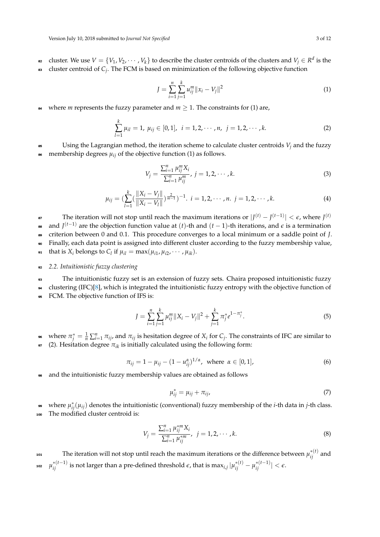- ez cluster. We use  $V = \{V_1, V_2, \cdots, V_k\}$  to describe the cluster centroids of the clusters and  $V_j \in R^d$  is the cluster centroid of *C<sup>j</sup>* <sup>83</sup> . The FCM is based on minimization of the following objective function
	- *J* = *n* ∑ *i*=1 *k* ∑ *j*=1  $||u_{ij}^m||x_i - V_j||^2$ (1)
- **84** where *m* represents the fuzzy parameter and  $m \ge 1$ . The constraints for (1) are,

$$
\sum_{l=1}^{k} \mu_{il} = 1, \ \mu_{ij} \in [0,1], \ \ i = 1,2,\cdots,n, \ \ j = 1,2,\cdots,k. \tag{2}
$$

 $85$  Using the Lagrangian method, the iteration scheme to calculate cluster centroids  $V_i$  and the fuzzy 86 membership degrees  $\mu_{ij}$  of the objective function (1) as follows.

$$
V_j = \frac{\sum_{i=1}^n \mu_{ij}^m X_i}{\sum_{i=1}^n \mu_{ij}^m}, \ j = 1, 2, \cdots, k. \tag{3}
$$

$$
\mu_{ij} = \left(\sum_{l=1}^k \left(\frac{\|X_i - V_j\|}{\|X_i - V_l\|}\right)^{\frac{2}{m-1}}\right)^{-1}, \ i = 1, 2, \cdots, n. \ j = 1, 2, \cdots, k. \tag{4}
$$

The iteration will not stop until reach the maximum iterations or  $|J^{(t)} - J^{(t-1)}| < \epsilon$ , where  $J^{(t)}$ 87 and *J* (*t*−1) <sup>88</sup> are the objection function value at (*t*)-th and (*t* − 1)-th iterations, and *e* is a termination <sup>89</sup> criterion between 0 and 0.1. This procedure converges to a local minimum or a saddle point of *J*. <sup>90</sup> Finally, each data point is assigned into different cluster according to the fuzzy membership value, **91** that is  $X_i$  belongs to  $C_l$  if  $\mu_{il} = \max(\mu_{i1}, \mu_{i2}, \cdots, \mu_{ik}).$ 

#### <sup>92</sup> *2.2. Intuitionistic fuzzy clustering*

<sup>93</sup> The intuitionistic fuzzy set is an extension of fuzzy sets. Chaira proposed intuitionistic fuzzy

<sup>94</sup> clustering (IFC)[\[8\]](#page-10-6), which is integrated the intuitionistic fuzzy entropy with the objective function of <sup>95</sup> FCM. The objective function of IFS is:

$$
J = \sum_{i=1}^{n} \sum_{j=1}^{k} \mu_{ij}^{m} \|X_i - V_j\|^2 + \sum_{j=1}^{k} \pi_j^* e^{1 - \pi_j^*}.
$$
 (5)

<sup>96</sup> where  $\pi_j^* = \frac{1}{n} \sum_{i=1}^n \pi_{ij}$ , and  $\pi_{ij}$  is hesitation degree of  $X_i$  for  $C_j$ . The constraints of IFC are similar to  $\sigma$  (2). Hesitation degree  $\pi_{ik}$  is initially calculated using the following form:

$$
\pi_{ij} = 1 - \mu_{ij} - (1 - u_{ij}^{\alpha})^{1/\alpha}, \text{ where } \alpha \in [0, 1],
$$
 (6)

<sup>98</sup> and the intuitionistic fuzzy membership values are obtained as follows

$$
\mu_{ij}^* = \mu_{ij} + \pi_{ij},\tag{7}
$$

**•** where  $μ_{ij}^*(μ_{ij})$  denotes the intuitionistic (conventional) fuzzy membership of the *i*-th data in *j*-th class. <sup>100</sup> The modified cluster centroid is:

$$
V_j = \frac{\sum_{i=1}^n \mu_{ij}^{*m} X_i}{\sum_{i=1}^n \mu_{ij}^{*m}}, \ \ j = 1, 2, \cdots, k. \tag{8}
$$

 $\mu_{ij}^{(t)}$  and  $\mu_{ij}^{*(t)}$  and  $\mu_{ij}^{(t)}$  and  $\mu_{ij}^{(t)}$  and  $\mu_{ij}^{(t)}$  and  $\mu_{ij}^{(t)}$  and  $\mu^{*(t-1)}_{ij}$  is not larger than a pre-defined threshold  $\varepsilon$ , that is  $\max_{i,j}|\mu^{*(t)}_{ij} - \mu^{*(t-1)}_{ij}| < \varepsilon.$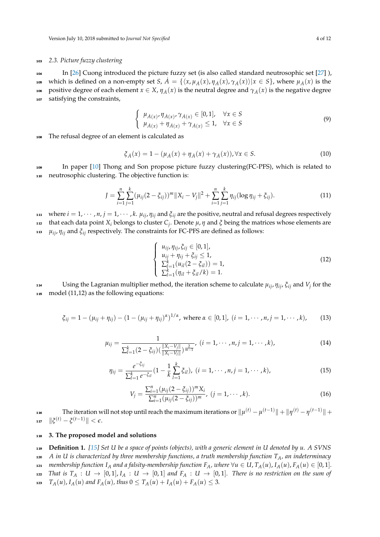## <sup>103</sup> *2.3. Picture fuzzy clustering*

<sup>104</sup> In [\[26\]](#page-11-11) Cuong introduced the picture fuzzy set (is also called standard neutrosophic set [\[27\]](#page-11-12) ), 105 which is defined on a non-empty set *S*,  $\dot{A} = \{\langle x, \mu_{\dot{A}}(x), \eta_{\dot{A}}(x), \gamma_{\dot{A}}(x)\rangle | x \in S\}$ , where  $\mu_{\dot{A}}(x)$  is the 106 positive degree of each element  $x \in X$ ,  $\eta_A(x)$  is the neutral degree and  $\gamma_A(x)$  is the negative degree <sup>107</sup> satisfying the constraints,

$$
\begin{cases}\n\mu_{A(x)}, \eta_{A(x)}, \gamma_{A(x)} \in [0, 1], & \forall x \in S \\
\mu_{A(x)} + \eta_{A(x)} + \gamma_{A(x)} \le 1, & \forall x \in S\n\end{cases}
$$
\n(9)

<sup>108</sup> The refusal degree of an element is calculated as

$$
\xi_{\dot{A}}(x) = 1 - (\mu_{\dot{A}}(x) + \eta_{\dot{A}}(x) + \gamma_{\dot{A}}(x)), \forall x \in S.
$$
 (10)

<sup>109</sup> In paper [\[10\]](#page-10-8) Thong and Son propose picture fuzzy clustering(FC-PFS), which is related to <sup>110</sup> neutrosophic clustering. The objective function is:

$$
J = \sum_{i=1}^{n} \sum_{j=1}^{k} (\mu_{ij} (2 - \xi_{ij}))^{m} \|X_i - V_j\|^2 + \sum_{i=1}^{n} \sum_{j=1}^{k} \eta_{ij} (\log \eta_{ij} + \xi_{ij}).
$$
 (11)

*i*<sup>11</sup> where  $i = 1, \dots, n$ ,  $j = 1, \dots, k$ .  $\mu_{ij}$ ,  $\eta_{ij}$  and  $\xi_{ij}$  are the positive, neutral and refusal degrees respectively

that each data point *X<sup>i</sup>* belongs to cluster *C<sup>j</sup>* <sup>112</sup> . Denote *µ*, *η* and *ξ* being the matrices whose elements are *µij* <sup>113</sup> , *ηij* and *ξij* respectively. The constraints for FC-PFS are defined as follows:

$$
\begin{cases}\n u_{ij}, \eta_{ij}, \xi_{ij} \in [0, 1], \\
 u_{ij} + \eta_{ij} + \xi_{ij} \le 1, \\
 \sum_{l=1}^{k} (u_{il}(2 - \xi_{il})) = 1, \\
 \sum_{l=1}^{k} (\eta_{il} + \xi_{il}/k) = 1.\n\end{cases}
$$
\n(12)

Using the Lagranian multiplier method, the iteration scheme to calculate  $\mu_{ij}$ ,  $\eta_{ij}$ ,  $\xi_{ij}$  and  $V_j$  for the 115 model (11,12) as the following equations:

$$
\xi_{ij} = 1 - (\mu_{ij} + \eta_{ij}) - (1 - (\mu_{ij} + \eta_{ij})^{\alpha})^{1/\alpha}, \text{ where } \alpha \in [0,1], (i = 1, \cdots, n, j = 1, \cdots, k), \quad (13)
$$

$$
\mu_{ij} = \frac{1}{\sum_{l=1}^{k} (2 - \xi_{ij}) (\frac{\|X_i - V_j\|}{\|X_i - V_l\|})^{\frac{2}{m-1}}}, \ (i = 1, \cdots, n, j = 1, \cdots, k), \tag{14}
$$

$$
\eta_{ij} = \frac{e^{-\xi_{ij}}}{\sum_{l=1}^k e^{-\xi_{il}}} (1 - \frac{1}{k} \sum_{l=1}^k \xi_{il}), \ (i = 1, \cdots, n, j = 1, \cdots, k), \tag{15}
$$

$$
V_j = \frac{\sum_{i=1}^n (\mu_{ij}(2 - \xi_{ij}))^m X_i}{\sum_{i=1}^n (\mu_{ij}(2 - \xi_{ij}))^m}, \ (j = 1, \cdots, k).
$$
 (16)

116 The iteration will not stop until reach the maximum iterations or  $\|\mu^{(t)}-\mu^{(t-1)}\|+\|\eta^{(t)}-\eta^{(t-1)}\|+$  $\| \boldsymbol{\xi}^{(t)} - \boldsymbol{\xi}^{(t-1)} \| < \epsilon.$ 

## <sup>118</sup> **3. The proposed model and solutions**

<sup>119</sup> **Definition 1.** *[\[15\]](#page-11-0) Set U be a space of points (objects), with a generic element in U denoted by u. A SVNS*

<sup>120</sup> *A in U is characterized by three membership functions, a truth membership function TA, an indeterminacy*

121 membership function  $I_A$  and a falsity-membership function  $F_A$ , where  $\forall u \in U$ ,  $T_A(u)$ ,  $I_A(u)$ ,  $F_A(u) \in [0,1]$ .

122 *That is*  $T_A: U \to [0,1], I_A: U \to [0,1]$  and  $F_A: U \to [0,1]$ . There is no restriction on the sum of

123 *T<sub>A</sub>*(*u*), *I<sub>A</sub>*(*u*) *and*  $F_A(u)$ , *thus*  $0 \le T_A(u) + I_A(u) + F_A(u) \le 3$ .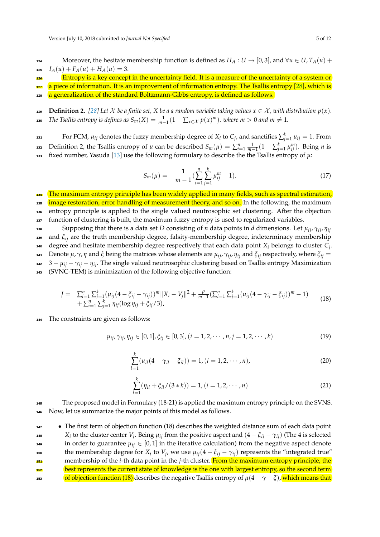124 Moreover, the hesitate membership function is defined as  $H_A: U \to [0,3]$ , and  $\forall u \in U$ ,  $T_A(u)$  + 125  $I_A(u) + F_A(u) + H_A(u) = 3.$ 

Entropy is a key concept in the uncertainty field. It is a measure of the uncertainty of a system or

127 (a piece of information. It is an improvement of information entropy. The Tsallis entropy [\[28\]](#page-11-13), which is

128 a generalization of the standard Boltzmann-Gibbs entropy, is defined as follows.

129 **Definition 2.** [\[28\]](#page-11-13) Let X be a finite set, X be a a random variable taking values  $x \in \mathcal{X}$ , with distribution  $p(x)$ . *The Tsallis entropy is defines as*  $S_m(X) = \frac{1}{m-1}(1 - \sum_{x \in \mathcal{X}} p(x)^m)$ *. where*  $m > 0$  *and*  $m ≠ 1$ *.* 

For FCM,  $\mu_{ij}$  denotes the fuzzy membership degree of  $X_i$  to  $C_j$ , and sanctifies  $\sum_{j=1}^k \mu_{ij} = 1$ . From 132 Definition 2, the Tsallis entropy of  $\mu$  can be described  $S_m(\mu) = \sum_{i=1}^n \frac{1}{m-1}(1-\sum_{j=1}^k \mu_{ij}^m)$ . Being *n* is 133 fixed number, Yasuda [\[13\]](#page-10-11) use the following formulary to describe the the Tsallis entropy of  $\mu$ :

$$
S_m(\mu) = -\frac{1}{m-1} \left( \sum_{i=1}^n \sum_{j=1}^k \mu_{ij}^m - 1 \right). \tag{17}
$$

<sup>134</sup> The maximum entropy principle has been widely applied in many fields, such as spectral estimation, <sub>135</sub> image restoration, error handling of measurement theory, and so on. In the following, the maximum <sup>136</sup> entropy principle is applied to the single valued neutrosophic set clustering. After the objection <sup>137</sup> function of clustering is built, the maximum fuzzy entropy is used to regularized variables.

Supposing that there is a data set *D* consisting of *n* data points in *d* dimensions. Let *µij*, *γij*, *ηij* <sup>138</sup> <sup>139</sup> and *ξij* are the truth membership degree, falsity-membership degree, indeterminacy membership 140 degree and hesitate membership degree respectively that each data point  $X_i$  belongs to cluster  $C_j$ .  $\mu$ <sub>*i*</sub> Denote  $\mu$ ,  $\gamma$ ,  $\eta$  and *ξ* being the matrices whose elements are  $\mu_{ij}$ ,  $\gamma_{ij}$ ,  $\eta_{ij}$  and *ξ*<sub>*ij*</sub> respectively, where *ξ*<sub>*ij*</sub> =  $142 \quad 3 - \mu_{ij} - \gamma_{ij} - \eta_{ij}$ . The single valued neutrosophic clustering based on Tsallis entropy Maximization <sup>143</sup> (SVNC-TEM) is minimization of the following objective function:

$$
J = \sum_{i=1}^{n} \sum_{j=1}^{k} (\mu_{ij} (4 - \xi_{ij} - \gamma_{ij}))^{m} \|X_i - V_j\|^2 + \frac{\rho}{m-1} (\sum_{i=1}^{n} \sum_{j=1}^{k} (u_{ij} (4 - \gamma_{ij} - \xi_{ij}))^{m} - 1) + \sum_{i=1}^{n} \sum_{j=1}^{k} \eta_{ij} (\log \eta_{ij} + \xi_{ij}/3),
$$
\n(18)

<sup>144</sup> The constraints are given as follows:

$$
\mu_{ij}, \gamma_{ij}, \eta_{ij} \in [0, 1], \xi_{ij} \in [0, 3], (i = 1, 2, \cdots, n, j = 1, 2, \cdots, k)
$$
\n(19)

$$
\sum_{l=1}^{k} (u_{il}(4 - \gamma_{il} - \xi_{il})) = 1, (i = 1, 2, \cdots, n),
$$
\n(20)

$$
\sum_{l=1}^{k} (\eta_{il} + \xi_{il}/(3*k)) = 1, (i = 1, 2, \cdots, n)
$$
 (21)

<sup>145</sup> The proposed model in Formulary (18-21) is applied the maximum entropy principle on the SVNS. <sup>146</sup> Now, let us summarize the major points of this model as follows.

**•** The first term of objection function (18) describes the weighted distance sum of each data point *x*<sub>*i*</sub> to the cluster center *V*<sub>*j*</sub>. Being  $\mu_{ij}$  from the positive aspect and  $(4 - \xi_{ij} - \gamma_{ij})$  (The 4 is selected 149 in order to guarantee  $\mu_{ij} \in [0,1]$  in the iterative calculation) from the negative aspect denote the membership degree for  $X_i$  to  $V_j$ , we use  $\mu_{ij}(4 - \xi_{ij} - \gamma_{ij})$  represents the "integrated true" membership of the *i*-th data point in the *j*-th cluster. From the maximum entropy principle, the 152 best represents the current state of knowledge is the one with largest entropy, so the second term 153 **of objection function (18)** describes the negative Tsallis entropy of  $\mu(4 - \gamma - \zeta)$ , which means that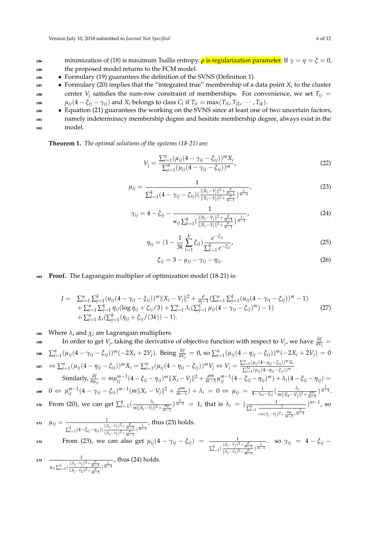<sup>154</sup> minimization of (18) is maximum Tsallis entropy. *ρ* is regularization parameter. If *γ* = *η* = *ξ* = 0, <sup>155</sup> the proposed model returns to the FCM model.

<sup>156</sup> • Formulary (19) guarantees the definition of the SVNS (Definition 1).

**•** Formulary (20) implies that the "integrated true" membership of a data point  $X_i$  to the cluster 158 center  $V_i$  satisfies the sum-row constraint of memberships. For convenience, we set  $T_{ij}$  = *u*<sub>*i*j</sub>(4 –  $\xi_{ij}$  –  $\gamma_{ij}$ ) and  $X_i$  belongs to class  $C_l$  if  $T_{il} = \max(T_{i1}, T_{i2}, \cdots, T_{ik})$ .

**•** Equation (21) guarantees the working on the SVNS since at least one of two uncertain factors,

<sup>161</sup> namely indeterminacy membership degree and hesitate membership degree, always exist in the <sup>162</sup> model.

**Theorem 1.** *The optimal solutions of the systems (18-21) are:*

$$
V_j = \frac{\sum_{i=1}^n (\mu_{ij} (4 - \gamma_{ij} - \xi_{ij}))^m X_i}{\sum_{i=1}^n (\mu_{ij} (4 - \gamma_{ij} - \xi_{ij}))^m},
$$
\n(22)

$$
\mu_{ij} = \frac{1}{\sum_{l=1}^{k} (4 - \gamma_{ij} - \xi_{ij}) \left( \frac{\|X_i - V_j\|^2 + \frac{\rho}{m-1}}{\|X_i - V_l\|^2 + \frac{\rho}{m-1}} \right)^{\frac{1}{m-1}}},\tag{23}
$$

$$
\gamma_{ij} = 4 - \xi_{ij} - \frac{1}{u_{ij} \sum_{l=1}^{k} \left( \frac{\|X_i - V_j\|^2 + \frac{\rho}{m-1}}{\|X_i - V_l\|^2 + \frac{\rho}{m-1}} \right)^{\frac{1}{m-1}}},\tag{24}
$$

$$
\eta_{ij} = (1 - \frac{1}{3k} \sum_{l=1}^{k} \xi_{il}) \frac{e^{-\xi_{ij}}}{\sum_{l=1}^{k} e^{-\xi_{il}}},
$$
\n(25)

$$
\xi_{ij} = 3 - \mu_{ij} - \gamma_{ij} - \eta_{ij}.
$$
 (26)

## <sup>163</sup> **Proof.** The Lagrangain multiplier of optimization model (18-21) is:

$$
J = \sum_{i=1}^{n} \sum_{j=1}^{k} (u_{ij}(4 - \gamma_{ij} - \xi_{ij}))^{m} \|X_i - V_j\|^2 + \frac{\rho}{m-1} (\sum_{i=1}^{n} \sum_{j=1}^{k} (u_{ij}(4 - \gamma_{ij} - \xi_{ij}))^{m} - 1) + \sum_{i=1}^{n} \sum_{j=1}^{k} \eta_{ij} (\log \eta_{ij} + \xi_{ij}/3) + \sum_{i=1}^{n} \lambda_i (\sum_{j=1}^{C} \mu_{ij}(4 - \gamma_{ij} - \xi_{ij})^{m}) - 1) + \sum_{i=1}^{n} \chi_i (\sum_{j=1}^{k} (\eta_{ij} + \xi_{ij}/(3k)) - 1).
$$
\n(27)

164 Where  $\lambda_i$  and  $\chi_i$  are Lagrangain multipliers.

 $\frac{\partial J}{\partial V_j}$  is the other to get  $V_j$ , taking the derivative of objective function with respect to  $V_j$ , we have  $\frac{\partial J}{\partial V_j}$ 166  $\sum_{i=1}^n(\mu_{ij}(4-\gamma_{ij}-\xi_{ij}))^m(-2X_i+2V_j).$  Being  $\frac{\partial J}{\partial V_j}=0$ , so  $\sum_{i=1}^n(\mu_{ij}(4-\eta_{ij}-\xi_{ij}))^m(-2X_i+2V_j)=0$  $\Leftrightarrow \sum_{i=1}^n (\mu_{ij}(4-\eta_{ij}-\xi_{ij}))^m X_i = \sum_{i=1}^n (\mu_{ij}(4-\eta_{ij}-\xi_{ij}))^m V_j \Leftrightarrow V_j = \frac{\sum_{i=1}^n (\mu_{ij}(4-\eta_{ij}-\xi_{ij}))^m X_i}{\sum_{i=1}^N (\mu_{ii}(4-\eta_{ii}-\xi_{ii}))^m}$  $\sum_{i=1}^{N} (\mu_{ij} (4 - \eta_{ij} - \xi_{ij}))^m$ 167 168 Similarly,  $\frac{\partial J}{\partial \mu_{ij}} = m \mu_{ij}^{m-1} (4 - \xi_{ij} - \eta_{ij})^m \|X_i - V_j\|^2 + \frac{\rho m}{m-1} \mu_{ij}^{m-1} (4 - \xi_{ij} - \eta_{ij})^m) + \lambda_i (4 - \xi_{ij} - \eta_{ij}) =$  $0 \Leftrightarrow \mu_{ij}^{m-1} (4 - \gamma_{ij} - \xi_{ij})^{m-1} (m||X_i - V_j||^2 + \frac{\rho m}{m-1}) + \lambda_i = 0 \Leftrightarrow \mu_{ij} = \frac{1}{4 - \gamma_{ij} - \xi_{ij}} (\frac{\lambda_i}{m||X_k - V_j||^2})$ **169** 0  $\Leftrightarrow$   $\mu_{ij}^{m-1}(4 - \gamma_{ij} - \xi_{ij})^{m-1}(m||X_i - V_j||^2 + \frac{\rho m}{m-1}) + \lambda_i = 0 \Leftrightarrow \mu_{ij} = \frac{1}{4 - \gamma_{ij} - \xi_{ij}}(\frac{\lambda_i}{m||X_k - V_j||^2 + \frac{\rho m}{m-1}})^{\frac{1}{m-1}}$ From (20), we can get  $\sum_{l=1}^{k}(\frac{\lambda_{l}}{m||X_{l}-V_{l}})$  $\frac{\lambda_i}{m||X_i-V_i||^2 + \frac{mp}{m-1}}$ )  $\frac{1}{m-1} = 1$ , that is  $\lambda_i = \left(\frac{1}{\sum_{l=1}^k \frac{p_l}{n-1}}\right)$  $(m||X_i-V_l||^2+\frac{m\rho}{m-1})\frac{1}{m-1}$ *m*<sup>−1</sup>, so From (20), we can get  $\sum_{l=1}^{k}(\frac{\lambda_i}{m|N_l+1)^{m-l}})^{\frac{1}{m-1}} = 1$ , that is  $\lambda_i = (\frac{1}{\sqrt{k_i}})^{m-1}$ , so  $\mu_{ij} = \frac{1}{1}$  $\sum_{l=1}^k (4-\xi_{ij}-\eta_{ij})(\frac{\|X_i-V_j\|^2+\frac{\rho}{m-1}}{\|X_i-V_j\|^2+\frac{\rho}{m-1}}$  $\frac{||X_i-V_j||^2 + \frac{P}{m-1}}{||X_i-V_l||^2 + \frac{\rho}{m-1}}$ 171  $\mu_{ij} = \frac{1}{\|\mathbf{v}_i - \mathbf{v}_i\|^2 + \rho}$ , thus (23) holds. From (23), we can also get  $\mu_{ij}(4-\gamma_{ij}-\xi_{ij})$  =  $\frac{1}{\|x-y\|^2}$  $\sum_{l=1}^{k} \left( \frac{\|X_i - V_j\|^2 + \frac{\rho}{m-1}}{\|X_i - V_j\|^2 + \frac{\rho}{m}} \right)$ **From (23), we can also get**  $\mu_{ij}(4 - \gamma_{ij} - \xi_{ij}) = \frac{1}{\sum_{l=1}^{k} (\frac{||X_i - V_j||^2 + \frac{\rho}{m-1}}{||X_i - V_j||^2 + \frac{\rho}{m-1}})^{\frac{1}{m-1}}}$ **. so**  $\gamma_{ij} = 4 - \xi_{ij}$ 1  $u_{ij} \sum_{i=1}^{C} \left( \frac{\|X_i - V_j\|^2 + \frac{\rho}{m-1}}{\|X_i - V_j\|^2 + \frac{\rho}{n-1}} \right)$  $\frac{||X_i-V_j||^2 + \frac{P}{m-1}}{||X_i-V_k||^2 + \frac{P}{m-1}}$ 173 —  $\frac{1}{\|V - V\| \|V - V\| \|^{2} + \rho}$ , thus (24) holds.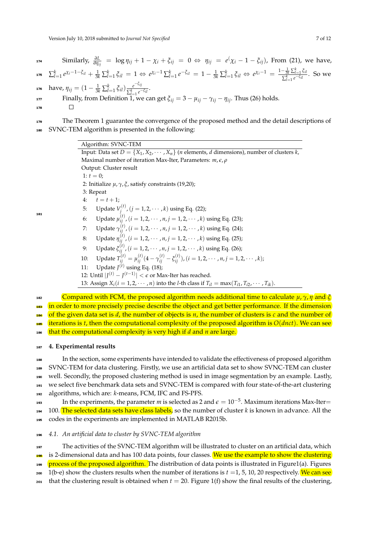$174$  Similarly,  $\frac{\partial L}{\partial \eta_{ij}}$  = log  $\eta_{ij} + 1 - \chi_i + \xi_{ij}$  = 0 ⇔  $\eta_{ij}$  =  $e^{\left(\chi_i - 1 - \xi_{ij}\right)}$ , From (21), we have,  $\sum_{l=1}^k e^{\chi_i - 1 - \xi_{il}} + \frac{1}{3k} \sum_{l=1}^k \xi_{il} = 1 \Leftrightarrow e^{\chi_i - 1} \sum_{l=1}^k e^{-\xi_{il}} = 1 - \frac{1}{3k} \sum_{l=1}^k \xi_{il} \Leftrightarrow e^{\chi_i - 1} = \frac{1 - \frac{1}{3k} \sum_{l=1}^k \xi_{il}}{\sum_{j=1}^k e^{-\xi_{il}}}$ 175  $\sum_{l=1}^{K} e^{\chi_i - 1 - \zeta_{il}} + \frac{1}{3k} \sum_{l=1}^{K} \zeta_{il} = 1 \Leftrightarrow e^{\chi_i - 1} \sum_{l=1}^{K} e^{-\zeta_{il}} = 1 - \frac{1}{3k} \sum_{l=1}^{K} \zeta_{il} \Leftrightarrow e^{\chi_i - 1} = \frac{1 - \frac{3k}{3k} \sum_{l=1}^{l} \zeta_{il}}{\sum_{l=1}^{K} e^{-\zeta_{il}}}$ . So we **have,**  $η_{ij} = (1 - \frac{1}{3k} \sum_{l=1}^{k} \xi_{il}) \frac{e^{-\xi_{ij}}}{\sum_{l=1}^{k} e^{-\xi_{il}}}$ 176 have,  $\eta_{ij} = (1 - \frac{1}{3k} \sum_{l=1}^{k} \xi_{il}) \frac{e^{-\eta_{ij}}}{\sum_{l=1}^{k} e^{-\xi_{il}}}.$ Finally, from Definition 1, we can get  $\xi_{ij} = 3 - \mu_{ij} - \gamma_{ij} - \eta_{ij}$ . Thus (26) holds. 178

179 The Theorem 1 guarantee the convergence of the proposed method and the detail descriptions of <sup>180</sup> SVNC-TEM algorithm is presented in the following:

Algorithm: SVNC-TEM Input: Data set  $D = \{X_1, X_2, \cdots, X_n\}$  (*n* elements, *d* dimensions), number of clusters *k*, Maximal number of iteration Max-Iter, Parameters: *m*, *e*, *ρ* Output: Cluster result 1:  $t = 0$ ; 2: Initialize *µ*, *γ*, *ξ*, satisfy constraints (19,20); 3: Repeat 4:  $t = t + 1;$ 5: Update  $V_i^{(t)}$  $f_j^{(l)}$ ,  $(j = 1, 2, \cdots, k)$  using Eq. (22); 6: Update  $\mu_{ij}^{(t)}$ ,  $(i = 1, 2, \dots, n, j = 1, 2, \dots, k)$  using Eq. (23); 7: Update *γ* (*t*) *ij* ,(*i* = 1, 2, · · · , *n*, *j* = 1, 2, · · · , *k*) using Eq. (24); 8: Update *η* (*t*) *ij* ,(*i* = 1, 2, · · · , *n*, *j* = 1, 2, · · · , *k*) using Eq. (25); 9: Update *ξ* (*t*) *ij* ,(*i* = 1, 2, · · · , *n*, *j* = 1, 2, · · · , *k*) using Eq. (26); 10: Update  $T_{ij}^{(t)} = \mu_{ij}^{(t)} (4 - \gamma_{ij}^{(t)} - \xi_{ij}^{(t)})$ ,  $(i = 1, 2, \cdots, n, j = 1, 2, \cdots, k)$ ; 11: Update  $J<sup>(t)</sup>$  using Eq. (18); 12: Until  $|J^{(t)} - J^{(t-1)}| < \epsilon$  or Max-Iter has reached. 13: Assign  $X_i$  ( $i = 1, 2, \dots, n$ ) into the *l*-th class if  $T_{il} = \max(T_{i1}, T_{i2}, \dots, T_{ik})$ . <sup>182</sup> Compared with FCM, the proposed algorithm needs additional time to calculate *µ*, *γ*, *η* and *ξ*

<sup>183</sup> in order to more precisely precise describe the object and get better performance. If the dimension 184 of the given data set is *d*, the number of objects is *n*, the number of clusters is *c* and the number of

<sup>185</sup> iterations is *t*, then the computational complexity of the proposed algorithm is *O*(*dnct*). We can see

<sup>186</sup> that the computational complexity is very high if *d* and *n* are large.

#### <sup>187</sup> **4. Experimental results**

181

 In the section, some experiments have intended to validate the effectiveness of proposed algorithm SVNC-TEM for data clustering. Firstly, we use an artificial data set to show SVNC-TEM can cluster well. Secondly, the proposed clustering method is used in image segmentation by an example. Lastly, we select five benchmark data sets and SVNC-TEM is compared with four state-of-the-art clustering algorithms, which are: *k*-means, FCM, IFC and FS-PFS.

193 In the experiments, the parameter  $m$  is selected as 2 and  $\epsilon = 10^{-5}$ . Maximum iterations Max-Iter= <sup>194</sup> 100. The selected data sets have class labels, so the number of cluster *k* is known in advance. All the

<sup>195</sup> codes in the experiments are implemented in MATLAB R2015b.

<sup>196</sup> *4.1. An artificial data to cluster by SVNC-TEM algorithm*

<sup>197</sup> The activities of the SVNC-TEM algorithm will be illustrated to cluster on an artificial data, which 198 is 2-dimensional data and has 100 data points, four classes. We use the example to show the clustering

199 process of the proposed algorithm. The distribution of data points is illustrated in Figure1(a). Figures

200 1(b-e) show the clusters results when the number of iterations is  $t = 1, 5, 10, 20$  respectively. We can see

<sup>201</sup> that the clustering result is obtained when  $t = 20$ . Figure 1(f) show the final results of the clustering,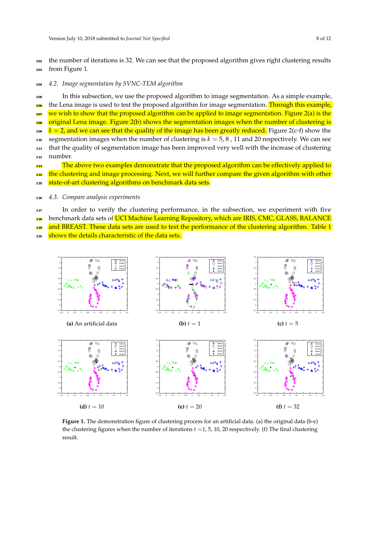<sup>202</sup> the number of iterations is 32. We can see that the proposed algorithm gives right clustering results <sup>203</sup> from Figure 1.

<sup>204</sup> *4.2. Image segmentation by SVNC-TEM algorithm*

<sup>205</sup> In this subsection, we use the proposed algorithm to image segmentation. As a simple example,

<sub>206</sub> the Lena image is used to test the proposed algorithm for image segmentation. Through this example, we wish to show that the proposed algorithm can be applied to image segmentation. Figure  $2(a)$  is the

<sub>208</sub> original Lena image. Figure 2(b) shows the segmentation images when the number of clustering is

- $\alpha$ <sup>209</sup> *k* = 2, and we can see that the quality of the image has been greatly reduced. Figure 2(c-f) show the <sup>210</sup> segmentation images when the number of clustering is  $k = 5, 8$ , 11 and 20 respectively. We can see
- <sup>211</sup> that the quality of segmentation image has been improved very well with the increase of clustering <sup>212</sup> number.
- **213** The above two examples demonstrate that the proposed algorithm can be effectively applied to
- 214 the clustering and image processing. Next, we will further compare the given algorithm with other
- 215 state-of-art clustering algorithms on benchmark data sets.
- <sup>216</sup> *4.3. Compare analysis experiments*
- <sup>217</sup> In order to verify the clustering performance, in the subsection, we experiment with five

218 benchmark data sets of UCI Machine Learning Repository, which are IRIS, CMC, GLASS, BALANCE

<sup>219</sup> and BREAST. These data sets are used to test the performance of the clustering algorithm. Table 1

220 shows the details characteristic of the data sets.



Figure 1. The demonstration figure of clustering process for an artificial data. (a) the original data (b-e) the clustering figures when the number of iterations  $t = 1, 5, 10, 20$  respectively. (f) The final clustering result.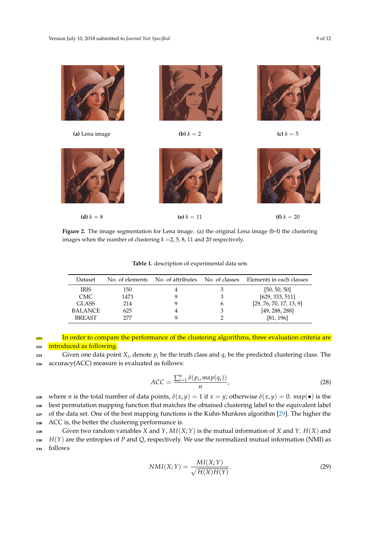

**Figure 2.** The image segmentation for Lena image. (a) the original Lena image (b-f) the clustering images when the number of clustering  $k = 2, 5, 8, 11$  and 20 respectively.

**Table 1.** description of experimental data sets

| Dataset        | No. of elements | No. of attributes | No. of classes | Elements in each classes |
|----------------|-----------------|-------------------|----------------|--------------------------|
| IRIS.          | 150             |                   |                | [50, 50, 50]             |
| CMC.           | 1473            |                   |                | [629, 333, 511]          |
| GLASS          | 214             |                   |                | [29, 76, 70, 17, 13, 9]  |
| <b>BALANCE</b> | 625             |                   |                | [49, 288, 288]           |
| <b>BREAST</b>  | 277             |                   |                | [81, 196]                |

In order to compare the performance of the clustering algorithms, three evaluation criteria are 222 introduced as following.

 $\sum_{i=1}^{223}$  Given one data point  $X_i$ , denote  $p_i$  be the truth class and  $q_i$  be the predicted clustering class. The <sup>224</sup> accuracy(ACC) measure is evaluated as follows:

$$
ACC = \frac{\sum_{i=1}^{n} \delta(p_i, map(q_i))}{n},
$$
\n(28)

 where *n* is the total number of data points, *δ*(*x*, *y*) = 1 if *x* = *y*; otherwise *δ*(*x*, *y*) = 0. *map*(•) is the best permutation mapping function that matches the obtained clustering label to the equivalent label 227 of the data set. One of the best mapping functions is the Kuhn-Munkres algorithm [\[29\]](#page-11-14). The higher the ACC is, the better the clustering performance is.

229 Given two random variables *X* and *Y*,  $MI(X;Y)$  is the mutual information of *X* and *Y*.  $H(X)$  and <sup>230</sup> *H*(*Y*) are the entropies of *P* and *Q*, respectively. We use the normalized mutual information (NMI) as <sup>231</sup> follows

$$
NMI(X;Y) = \frac{MI(X;Y)}{\sqrt{H(X)H(Y)}}.\t(29)
$$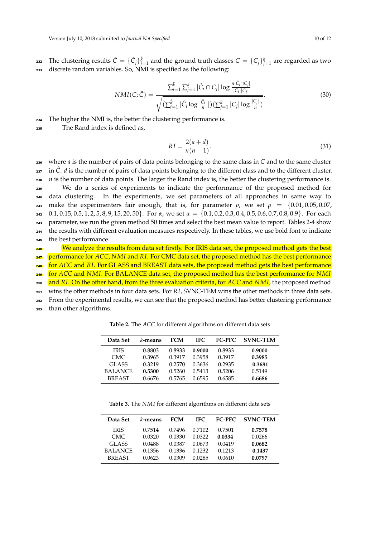$_2$   $_3$  The clustering results  $\hat{C} = \{\hat{C}_j\}_{j=1}^{\hat{k}}$  and the ground truth classes  $C = \{C_j\}_{j=1}^k$  are regarded as two <sup>233</sup> discrete random variables. So, NMI is specified as the following:

$$
NMI(C; \hat{C}) = \frac{\sum_{i=1}^{\hat{k}} \sum_{j=1}^{k} |\hat{C}_{i} \cap C_{j}| \log \frac{n |\hat{C}_{i} \cap C_{j}|}{|\hat{C}_{i}| |C_{j}|}}{\sqrt{(\sum_{i=1}^{\hat{k}} |\hat{C}_{i} \log \frac{|\hat{C}_{i}|}{n}|)(\sum_{j=1}^{k} |C_{j}| \log \frac{|C_{j}|}{n})}}.
$$
(30)

<sup>234</sup> The higher the NMI is, the better the clustering performance is.

<sup>235</sup> The Rand index is defined as,

$$
RI = \frac{2(a+d)}{n(n-1)}.
$$
\n(31)

 where *a* is the number of pairs of data points belonging to the same class in *C* and to the same cluster 237 in  $\hat{C}$ . *d* is the number of pairs of data points belonging to the different class and to the different cluster.  $n_{1}$  is the number of data points. The larger the Rand index is, the better the clustering performance is. We do a series of experiments to indicate the performance of the proposed method for data clustering. In the experiments, we set parameters of all approaches in same way to 241 make the experimenters fair enough, that is, for parameter  $\rho$ , we set  $\rho = \{0.01, 0.05, 0.07,$  0.1, 0.15, 0.5, 1, 2, 5, 8, 9, 15, 20, 50}. For *α*, we set *α* = {0.1, 0.2, 0.3, 0.4, 0.5, 0.6, 0.7, 0.8, 0.9}. For each parameter, we run the given method 50 times and select the best mean value to report. Tables 2-4 show the results with different evaluation measures respectively. In these tables, we use bold font to indicate the best performance.

We analyze the results from data set firstly. For IRIS data set, the proposed method gets the best performance for *ACC*, *NMI* and *RI*. For CMC data set, the proposed method has the best performance for *ACC* and *RI*. For GLASS and BREAST data sets, the proposed method gets the best performance for *ACC* and *NMI*. For BALANCE data set, the proposed method has the best performance for *NMI* and *RI*. On the other hand, from the three evaluation criteria, for *ACC* and *NMI*, the proposed method wins the other methods in four data sets. For *RI*, SVNC-TEM wins the other methods in three data sets. <sup>252</sup> From the experimental results, we can see that the proposed method has better clustering performance

<sup>253</sup> than other algorithms.

**Table 2.** The *ACC* for different algorithms on different data sets

| Data Set       | k-means | <b>FCM</b> | IFC.   | <b>FC-PFC</b> | <b>SVNC-TEM</b> |
|----------------|---------|------------|--------|---------------|-----------------|
| <b>IRIS</b>    | 0.8803  | 0.8933     | 0.9000 | 0.8933        | 0.9000          |
| CMC.           | 0.3965  | 0.3917     | 0.3958 | 0.3917        | 0.3985          |
| GLASS          | 0.3219  | 0.2570     | 0.3636 | 0.2935        | 0.3681          |
| <b>BALANCE</b> | 0.5300  | 0.5260     | 0.5413 | 0.5206        | 0.5149          |
| <b>BREAST</b>  | 0.6676  | 0.5765     | 0.6595 | 0.6585        | 0.6686          |

**Table 3.** The *NMI* for different algorithms on different data sets

| Data Set       | k-means | <b>FCM</b> | IFC.   | <b>FC-PFC</b> | <b>SVNC-TEM</b> |
|----------------|---------|------------|--------|---------------|-----------------|
| <b>IRIS</b>    | 0.7514  | 0.7496     | 0.7102 | 0.7501        | 0.7578          |
| CMC.           | 0.0320  | 0.0330     | 0.0322 | 0.0334        | 0.0266          |
| GLASS          | 0.0488  | 0.0387     | 0.0673 | 0.0419        | 0.0682          |
| <b>BALANCE</b> | 0.1356  | 0.1336     | 0.1232 | 0.1213        | 0.1437          |
| <b>BREAST</b>  | 0.0623  | 0.0309     | 0.0285 | 0.0610        | 0.0797          |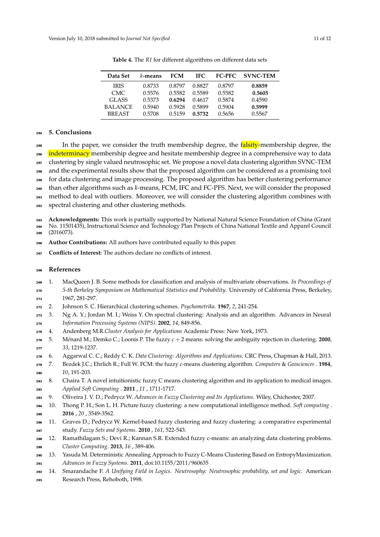| Data Set       | k-means | <b>FCM</b> | IFC.   | <b>FC-PFC</b> | <b>SVNC-TEM</b> |
|----------------|---------|------------|--------|---------------|-----------------|
| <b>IRIS</b>    | 0.8733  | 0.8797     | 0.8827 | 0.8797        | 0.8859          |
| CMC.           | 0.5576  | 0.5582     | 0.5589 | 0.5582        | 0.5605          |
| GLASS          | 0.5373  | 0.6294     | 0.4617 | 0.5874        | 0.4590          |
| <b>BALANCE</b> | 0.5940  | 0.5928     | 0.5899 | 0.5904        | 0.5999          |
| <b>BREAST</b>  | 0.5708  | 0.5159     | 0.5732 | 0.5656        | 0.5567          |

**Table 4.** The *RI* for different algorithms on different data sets

### **5. Conclusions**

<sup>255</sup> In the paper, we consider the truth membership degree, the falsity-membership degree, the <sup>256</sup> indeterminacy membership degree and hesitate membership degree in a comprehensive way to data clustering by single valued neutrosophic set. We propose a novel data clustering algorithm SVNC-TEM and the experimental results show that the proposed algorithm can be considered as a promising tool for data clustering and image processing. The proposed algorithm has better clustering performance than other algorithms such as *k*-means, FCM, IFC and FC-PFS. Next, we will consider the proposed method to deal with outliers. Moreover, we will consider the clustering algorithm combines with spectral clustering and other clustering methods.

**Acknowledgments:** This work is partially supported by National Natural Science Foundation of China (Grant

 No. 11501435), Instructional Science and Technology Plan Projects of China National Textile and Apparel Council (2016073).

**Author Contributions:** All authors have contributed equally to this paper.

**Conflicts of Interest:** The authors declare no conflicts of interest.

## **References**

- <span id="page-10-0"></span>1. MacQueen J. B. Some methods for classification and analysis of multivariate observations. *In Proceedings of*
- *5-th Berkeley Symposium on Mathematical Statistics and Probability*. University of California Press, Berkeley, 1967, 281-297.
- <span id="page-10-1"></span>2. Johnson S. C. Hierarchical clustering schemes. *Psychometrika*. **1967**, *2*, 241-254.
- <span id="page-10-2"></span> 3. Ng A. Y.; Jordan M. I.; Weiss Y. On spectral clustering: Analysis and an algorithm. Advances in Neural *Information Processing Systems (NIPS)*. **2002**, *14*, 849-856.
- <span id="page-10-3"></span>4. Andenberg M.R.*Cluster Analysis for Applications* Academic Press: New York, 1973.
- 5. M*e*´nard M.; Demko C.; Loonis P. The fuzzy *c* + 2 means: solving the ambiguity rejection in clustering. **2000**, *33*, 1219-1237.
- <span id="page-10-4"></span>6. Aggarwal C. C.; Reddy C. K. *Data Clustering: Algorithms and Applications*. CRC Press, Chapman & Hall, 2013.
- <span id="page-10-5"></span> 7. Bezdek J.C.; Ehrlich R.; Full W. FCM: the fuzzy *c*-means clustering algorithm. *Computers* & *Geosciences* . **1984**, *10*, 191-203.
- <span id="page-10-6"></span> 8. Chaira T. A novel intuitionistic fuzzy C means clustering algorithm and its application to medical images. *Applied Soft Computing* . **2011** , *11* , 1711-1717.
- <span id="page-10-7"></span>9. Oliveira J. V. D.; Pedrycz W. *Advances in Fuzzy Clustering and Its Applications*. Wiley, Chichester, 2007.
- <span id="page-10-8"></span> 10. Thong P. H.; Son L. H. Picture fuzzy clustering: a new computational intelligence method. *Soft computing* . **2016** , *20* , 3549-3562.
- <span id="page-10-9"></span> 11. Graves D.; Pedrycz W. Kernel-based fuzzy clustering and fuzzy clustering: a comparative experimental study. *Fuzzy Sets and Systems*. **2010** , *161*, 522-543.
- <span id="page-10-10"></span> 12. Ramathilagam S.; Devi R.; Kannan S.R. Extended fuzzy c-means: an analyzing data clustering problems. *Cluster Computing*. **2013**, *16* , 389-406.
- <span id="page-10-11"></span> 13. Yasuda M. Deterministic Annealing Approach to Fuzzy C-Means Clustering Based on EntropyMaximization. *Advances in Fuzzy Systems*. **2011**, doi:10.1155/2011/960635
- <span id="page-10-12"></span>14. Smarandache F. *A Unifying Field in Logics. Neutrosophy: Neutrosophic probability, set and logic*. American
- Research Press, Rehoboth, 1998.